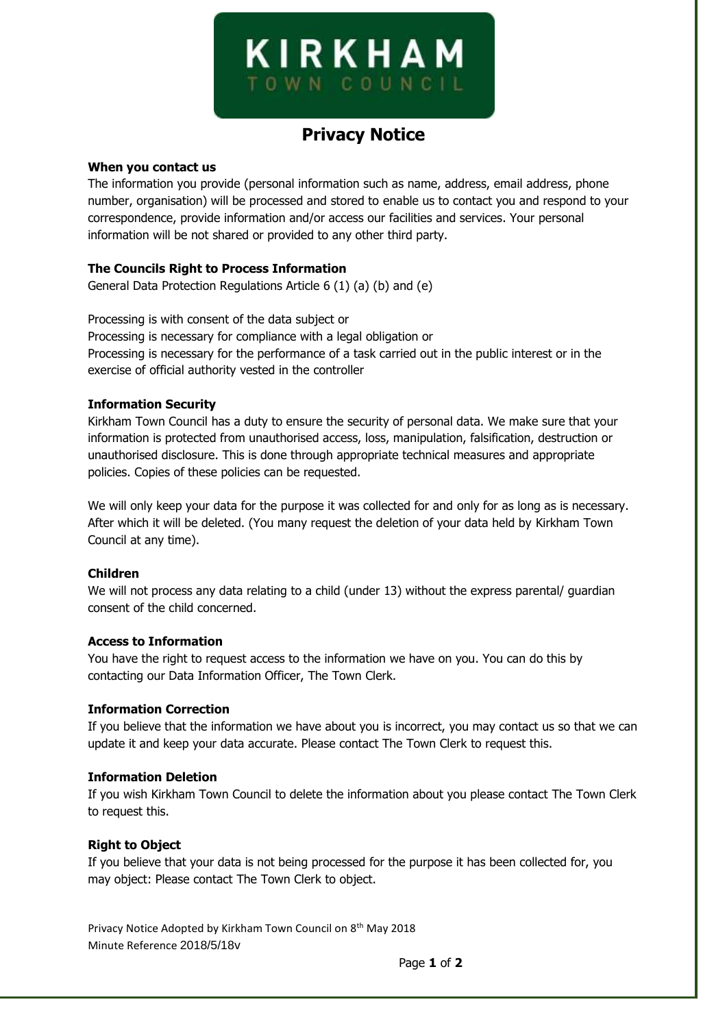# **KIRKHAM** OWN COUNC

# **Privacy Notice**

### **When you contact us**

The information you provide (personal information such as name, address, email address, phone number, organisation) will be processed and stored to enable us to contact you and respond to your correspondence, provide information and/or access our facilities and services. Your personal information will be not shared or provided to any other third party.

# **The Councils Right to Process Information**

General Data Protection Regulations Article 6 (1) (a) (b) and (e)

Processing is with consent of the data subject or Processing is necessary for compliance with a legal obligation or Processing is necessary for the performance of a task carried out in the public interest or in the exercise of official authority vested in the controller

# **Information Security**

Kirkham Town Council has a duty to ensure the security of personal data. We make sure that your information is protected from unauthorised access, loss, manipulation, falsification, destruction or unauthorised disclosure. This is done through appropriate technical measures and appropriate policies. Copies of these policies can be requested.

We will only keep your data for the purpose it was collected for and only for as long as is necessary. After which it will be deleted. (You many request the deletion of your data held by Kirkham Town Council at any time).

# **Children**

We will not process any data relating to a child (under 13) without the express parental/ quardian consent of the child concerned.

#### **Access to Information**

You have the right to request access to the information we have on you. You can do this by contacting our Data Information Officer, The Town Clerk.

#### **Information Correction**

If you believe that the information we have about you is incorrect, you may contact us so that we can update it and keep your data accurate. Please contact The Town Clerk to request this.

#### **Information Deletion**

If you wish Kirkham Town Council to delete the information about you please contact The Town Clerk to request this.

# **Right to Object**

If you believe that your data is not being processed for the purpose it has been collected for, you may object: Please contact The Town Clerk to object.

Privacy Notice Adopted by Kirkham Town Council on 8<sup>th</sup> May 2018 Minute Reference 2018/5/18v

Page **1** of **2**